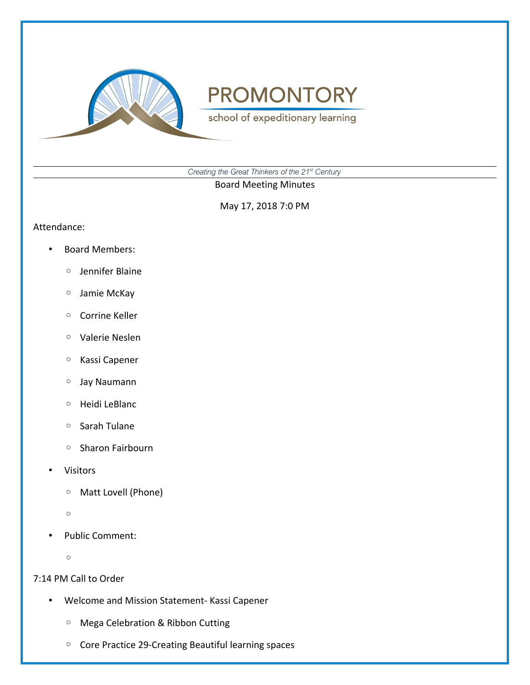

school of expeditionary learning

*Creating the Great Thinkers of the 21st Century*

Board Meeting Minutes

May 17, 2018 7:0 PM

#### Attendance:

- Board Members:
	- Jennifer Blaine
	- Jamie McKay
	- Corrine Keller
	- Valerie Neslen
	- Kassi Capener
	- Jay Naumann
	- Heidi LeBlanc
	- Sarah Tulane
	- Sharon Fairbourn
- Visitors
	- Matt Lovell (Phone)
	- $\circ$
- Public Comment:
	- $\circ$

## 7:14 PM Call to Order

- Welcome and Mission Statement- Kassi Capener
	- Mega Celebration & Ribbon Cutting
	- Core Practice 29-Creating Beautiful learning spaces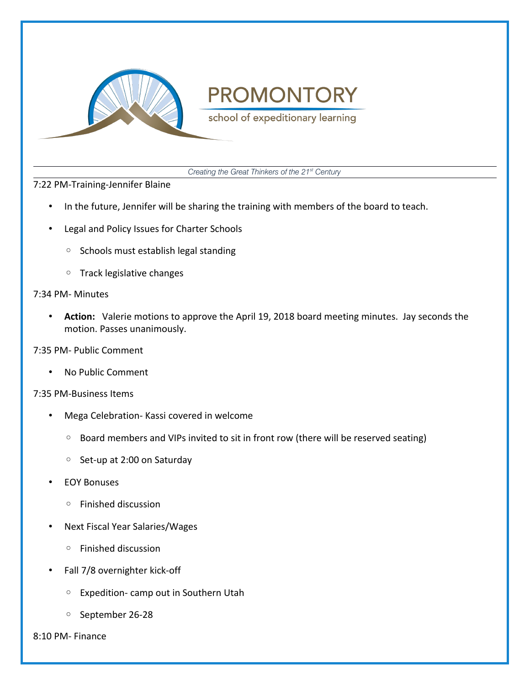

school of expeditionary learning

*Creating the Great Thinkers of the 21st Century*

7:22 PM-Training-Jennifer Blaine

- In the future, Jennifer will be sharing the training with members of the board to teach.
- Legal and Policy Issues for Charter Schools
	- Schools must establish legal standing
	- Track legislative changes

### 7:34 PM- Minutes

- **Action:** Valerie motions to approve the April 19, 2018 board meeting minutes. Jay seconds the motion. Passes unanimously.
- 7:35 PM- Public Comment
	- No Public Comment

## 7:35 PM-Business Items

- Mega Celebration- Kassi covered in welcome
	- Board members and VIPs invited to sit in front row (there will be reserved seating)
	- Set-up at 2:00 on Saturday
- EOY Bonuses
	- Finished discussion
- Next Fiscal Year Salaries/Wages
	- Finished discussion
- Fall 7/8 overnighter kick-off
	- Expedition- camp out in Southern Utah
	- September 26-28
- 8:10 PM- Finance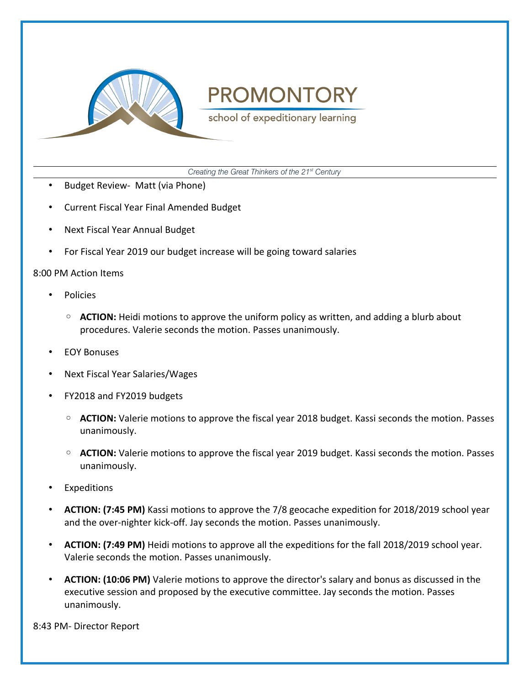

school of expeditionary learning

*Creating the Great Thinkers of the 21st Century*

- Budget Review- Matt (via Phone)
- Current Fiscal Year Final Amended Budget
- Next Fiscal Year Annual Budget
- For Fiscal Year 2019 our budget increase will be going toward salaries

### 8:00 PM Action Items

- Policies
	- **ACTION:** Heidi motions to approve the uniform policy as written, and adding a blurb about procedures. Valerie seconds the motion. Passes unanimously.
- EOY Bonuses
- Next Fiscal Year Salaries/Wages
- FY2018 and FY2019 budgets
	- **ACTION:** Valerie motions to approve the fiscal year 2018 budget. Kassi seconds the motion. Passes unanimously.
	- **ACTION:** Valerie motions to approve the fiscal year 2019 budget. Kassi seconds the motion. Passes unanimously.
- **Expeditions**
- **ACTION: (7:45 PM)** Kassi motions to approve the 7/8 geocache expedition for 2018/2019 school year and the over-nighter kick-off. Jay seconds the motion. Passes unanimously.
- **ACTION: (7:49 PM)** Heidi motions to approve all the expeditions for the fall 2018/2019 school year. Valerie seconds the motion. Passes unanimously.
- **ACTION: (10:06 PM)** Valerie motions to approve the director's salary and bonus as discussed in the executive session and proposed by the executive committee. Jay seconds the motion. Passes unanimously.

8:43 PM- Director Report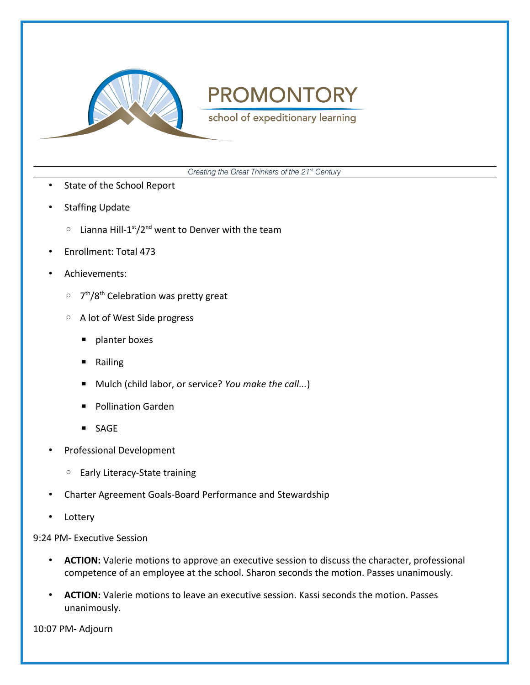

school of expeditionary learning

*Creating the Great Thinkers of the 21st Century*

- State of the School Report
- Staffing Update
	- Lianna Hill-1st/2nd went to Denver with the team
- Enrollment: Total 473
- Achievements:
	- 7<sup>th</sup>/8<sup>th</sup> Celebration was pretty great
	- A lot of West Side progress
		- planter boxes
		- Railing
		- Mulch (child labor, or service? *You make the call...*)
		- Pollination Garden
		- SAGE
- Professional Development
	- Early Literacy-State training
- Charter Agreement Goals-Board Performance and Stewardship
- Lottery

### 9:24 PM- Executive Session

- **ACTION:** Valerie motions to approve an executive session to discuss the character, professional competence of an employee at the school. Sharon seconds the motion. Passes unanimously.
- **ACTION:** Valerie motions to leave an executive session. Kassi seconds the motion. Passes unanimously.

10:07 PM- Adjourn